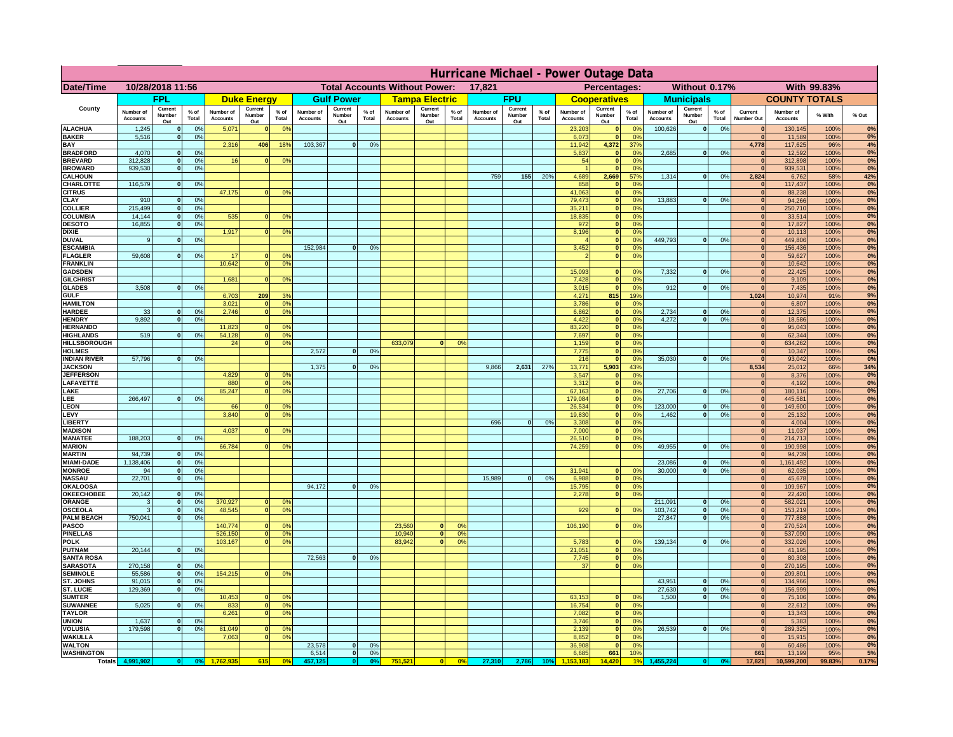|                                       | Hurricane Michael - Power Outage Data |                              |                                  |                              |                                 |                                  |                                                |                          |                      |                              |                                              |                                  |                              |                          |               |                              |                          |                                               |                              |                          |                 |                              |                              |               |             |
|---------------------------------------|---------------------------------------|------------------------------|----------------------------------|------------------------------|---------------------------------|----------------------------------|------------------------------------------------|--------------------------|----------------------|------------------------------|----------------------------------------------|----------------------------------|------------------------------|--------------------------|---------------|------------------------------|--------------------------|-----------------------------------------------|------------------------------|--------------------------|-----------------|------------------------------|------------------------------|---------------|-------------|
| Date/Time                             | 10/28/2018 11:56                      |                              |                                  |                              |                                 |                                  | <b>Total Accounts Without Power:</b><br>17,821 |                          |                      |                              | With 99.83%<br>Percentages:<br>Without 0.17% |                                  |                              |                          |               |                              |                          |                                               |                              |                          |                 |                              |                              |               |             |
|                                       |                                       | <b>FPL</b>                   |                                  |                              | <b>Duke Energy</b>              |                                  |                                                | <b>Gulf Power</b>        |                      |                              | <b>Tampa Electric</b>                        |                                  |                              | <b>FPU</b>               |               |                              | <b>Cooperatives</b>      |                                               |                              | <b>Municipals</b>        |                 |                              | <b>COUNTY TOTALS</b>         |               |             |
| County                                | Number of<br><b>Accounts</b>          | Current<br>Number<br>Out     | $%$ of<br>Total                  | Number of<br><b>Accounts</b> | Current<br><b>Number</b><br>Out | $%$ of<br>Total                  | Number of<br><b>Accounts</b>                   | Current<br>Number<br>Out | $%$ of<br>Total      | Number of<br><b>Accounts</b> | Current<br>Number<br>Out                     | $%$ of<br>Total                  | Number of<br><b>Accounts</b> | Current<br>Number<br>Out | % of<br>Total | Number of<br><b>Accounts</b> | Current<br>Number<br>Out | $%$ of<br>Total                               | Number of<br><b>Accounts</b> | Current<br>Number<br>Out | $%$ of<br>Total | Current<br>Number Out        | Number of<br><b>Accounts</b> | % With        | % Out       |
| <b>ALACHUA</b><br><b>BAKER</b>        | 1,245<br>5,516                        | $\mathbf{0}$<br>$\mathbf{0}$ | 0%<br>0%                         | 5,071                        |                                 | 0 <sup>9</sup>                   |                                                |                          |                      |                              |                                              |                                  |                              |                          |               | 23,203<br>6,073              | $\bf{0}$<br>$\mathbf{0}$ | $^{\circ}$<br>0 <sup>9</sup>                  | 100,626                      | 0                        | 0%              | $\mathbf{0}$<br>$\mathbf{0}$ | 130,145<br>11,589            | 100%<br>100%  | 0%<br>0%    |
| BAY                                   |                                       |                              |                                  | 2,316                        | 406                             | 18%                              | 103,367                                        | 0                        | 0%                   |                              |                                              |                                  |                              |                          |               | 11,942                       | 4,372                    | 37%                                           |                              |                          |                 | 4,778                        | 117,625                      | 96%           | 4%          |
| <b>BRADFORD</b><br><b>BREVARD</b>     | 4,070<br>312.828                      | $\Omega$<br>$\mathbf{0}$     | 0%<br>0 <sup>9</sup>             | 16                           |                                 | 0 <sup>o</sup>                   |                                                |                          |                      |                              |                                              |                                  |                              |                          |               | 5,837<br>54                  | 0 <br> 0                 | 0 <sup>9</sup><br>0 <sup>9</sup>              | 2,685                        | 0                        | 0%              | $\Omega$<br>$\mathbf{0}$     | 12,592<br>312,898            | 100%<br>100%  | 0%<br>0%    |
| <b>BROWARD</b>                        | 939.530                               | $\mathbf{0}$                 | 0%                               |                              |                                 |                                  |                                                |                          |                      |                              |                                              |                                  |                              |                          |               |                              | 0                        | 0%                                            |                              |                          |                 | $\mathbf{0}$                 | 939,531                      | 100%          | 0%          |
| <b>CALHOUN</b>                        |                                       | $\mathbf{0}$                 |                                  |                              |                                 |                                  |                                                |                          |                      |                              |                                              |                                  | 759                          | 155                      | 20%           | 4,689<br>858                 | 2,669                    | 57%                                           | 1,314                        | 0                        | 0%              | 2,824<br>$\mathbf{0}$        | 6,762                        | 58%           | 42%<br>0%   |
| CHARLOTTE<br><b>CITRUS</b>            | 116,579                               |                              | 0%                               | 47,175                       |                                 | 0 <sup>o</sup>                   |                                                |                          |                      |                              |                                              |                                  |                              |                          |               | 41.063                       | 0 <br> 0                 | 0%<br>0 <sup>9</sup>                          |                              |                          |                 | $\mathbf{0}$                 | 117,437<br>88.238            | 100%<br>100%  | 0%          |
| CLAY                                  | 910                                   |                              | 0 <sup>9</sup>                   |                              |                                 |                                  |                                                |                          |                      |                              |                                              |                                  |                              |                          |               | 79,473                       | 0                        | 0%                                            | 13,883                       | 0                        | 0%              | $\bf{0}$                     | 94,266                       | 100%          | 0%          |
| <b>COLLIER</b><br>COLUMBIA            | 215,499<br>14,144                     |                              | 0%<br>0%                         | 535                          |                                 | 0 <sup>o</sup>                   |                                                |                          |                      |                              |                                              |                                  |                              |                          |               | 35,211<br>18,835             | 0 <br> 0                 | 0 <sup>9</sup><br>0 <sup>9</sup>              |                              |                          |                 | $\mathbf{0}$<br>$\mathbf{0}$ | 250,710<br>33,514            | 100%<br>100%  | 0%<br>0%    |
| <b>DESOTO</b>                         | 16,855                                |                              | 0%                               |                              |                                 |                                  |                                                |                          |                      |                              |                                              |                                  |                              |                          |               | 972                          | 0                        | 0 <sup>9</sup>                                |                              |                          |                 |                              | 17,827                       | 100%          | 0%          |
| <b>DIXIE</b>                          |                                       |                              |                                  | 1,917                        |                                 | 0 <sup>o</sup>                   |                                                |                          |                      |                              |                                              |                                  |                              |                          |               | 8,196                        | 0                        | 0 <sup>9</sup>                                |                              |                          |                 | $\mathbf{0}$                 | 10,113                       | 100%          | 0%<br>0%    |
| <b>DUVAL</b><br><b>ESCAMBIA</b>       | 9                                     |                              | 0 <sup>9</sup>                   |                              |                                 |                                  | 152,984                                        | $\Omega$                 | 0 <sup>9</sup>       |                              |                                              |                                  |                              |                          |               | 3,452                        | 0 <br>$\mathbf{0}$       | 0 <sup>o</sup><br>0 <sup>o</sup>              | 449,793                      | 0                        | 0%              | $\mathbf{0}$<br>$\mathbf{0}$ | 449,806<br>156,436           | 100%<br>100%  | 0%          |
| <b>FLAGLER</b>                        | 59,608                                | $\mathbf{0}$                 | 0 <sup>9</sup>                   | 17                           |                                 | 0 <sup>9</sup>                   |                                                |                          |                      |                              |                                              |                                  |                              |                          |               |                              | 0                        | 0 <sup>9</sup>                                |                              |                          |                 | $\mathbf{0}$                 | 59,627                       | 100%          | 0%          |
| <b>FRANKLIN</b>                       |                                       |                              |                                  | 10,642                       |                                 | 0 <sup>9</sup>                   |                                                |                          |                      |                              |                                              |                                  |                              |                          |               | 15,093                       | $\mathbf{0}$             |                                               | 7,332                        |                          |                 | $\bf{0}$                     | 10,642<br>22,425             | 100%          | 0%<br>0%    |
| <b>GADSDEN</b><br><b>GILCHRIST</b>    |                                       |                              |                                  | 1.681                        |                                 | 0 <sup>9</sup>                   |                                                |                          |                      |                              |                                              |                                  |                              |                          |               | 7,428                        | 0                        | 0 <sup>9</sup><br>0 <sup>9</sup>              |                              | 0                        | 0%              | 0 <br> 0                     | 9,109                        | 100%<br>100%  | 0%          |
| <b>GLADES</b>                         | 3.508                                 |                              | 0%                               |                              |                                 |                                  |                                                |                          |                      |                              |                                              |                                  |                              |                          |               | 3,015                        | 0                        | 0%                                            | 912                          | 0                        | 0%              | $\mathbf{0}$                 | 7,435                        | 100%          | 0%          |
| <b>GULF</b><br><b>HAMILTON</b>        |                                       |                              |                                  | 6,703<br>3,021               | 209                             | 3%<br>0 <sup>9</sup>             |                                                |                          |                      |                              |                                              |                                  |                              |                          |               | 4,271<br>3,786               | 815<br> 0                | 19%<br>0%                                     |                              |                          |                 | 1,024<br> 0                  | 10,974<br>6,807              | 91%<br>100%   | 9%<br>0%    |
| <b>HARDEE</b>                         | 33                                    | $\mathbf{0}$                 | 0%                               | 2,746                        |                                 | 0 <sup>9</sup>                   |                                                |                          |                      |                              |                                              |                                  |                              |                          |               | 6,862                        |                          | 0 <br>0%                                      | 2,734                        | $\mathbf{0}$             | 0%              | 0                            | 12,375                       | 100%          | 0%          |
| <b>HENDRY</b>                         | 9.892                                 | $\Omega$                     | 0 <sup>9</sup>                   |                              |                                 |                                  |                                                |                          |                      |                              |                                              |                                  |                              |                          |               | 4,422                        |                          | 0 <br>0%                                      | 4.272                        | 0                        | 0%              | 0                            | 18,586                       | 100%          | 0%          |
| <b>HERNANDO</b><br><b>HIGHLANDS</b>   | 519                                   | $\Omega$                     | 0%                               | 11,823<br>54,128             |                                 | 0 <sup>o</sup><br>0 <sup>9</sup> |                                                |                          |                      |                              |                                              |                                  |                              |                          |               | 83,220<br>7,697              |                          | 0 <br>0 <sup>9</sup><br> 0 <br>0 <sup>9</sup> |                              |                          |                 | 0 <br> 0                     | 95,043<br>62,344             | 100%<br>100%  | 0%<br>0%    |
| <b>HILLSBOROUGH</b>                   |                                       |                              |                                  | 24                           |                                 | 0 <sup>9</sup>                   |                                                |                          |                      | 633,079                      | $\Omega$                                     | 0 <sup>9</sup>                   |                              |                          |               | 1,159                        |                          | 0 <br>0 <sup>9</sup>                          |                              |                          |                 | 0                            | 634,262                      | 100%          | 0%          |
| <b>HOLMES</b>                         |                                       |                              |                                  |                              |                                 |                                  | 2,572                                          | $\Omega$                 | 0 <sup>9</sup>       |                              |                                              |                                  |                              |                          |               | 7,775                        | 0                        | 0 <sup>9</sup>                                |                              |                          |                 | $\mathbf{0}$                 | 10,347                       | 100%          | 0%          |
| <b>INDIAN RIVER</b><br><b>JACKSON</b> | 57,796                                |                              | 0%                               |                              |                                 |                                  | 1,375                                          | $\Omega$                 | 0 <sup>9</sup>       |                              |                                              |                                  | 9,866                        | 2,631                    | 27%           | 216<br>13,771                | 0 <br>5,903              | 0 <sup>9</sup><br>43%                         | 35.030                       | $\mathbf{0}$             | 0%              | $\mathbf{0}$<br>8,534        | 93,042<br>25,012             | 100%<br>66%   | 0%<br>34%   |
| <b>JEFFERSON</b>                      |                                       |                              |                                  | 4.829                        |                                 | 0 <sup>9</sup>                   |                                                |                          |                      |                              |                                              |                                  |                              |                          |               | 3.547                        | $\mathbf{0}$             | 0 <sup>9</sup>                                |                              |                          |                 | $\mathbf{0}$                 | 8,376                        | 100%          | 0%          |
| LAFAYETTE                             |                                       |                              |                                  | 880                          | n.                              | 0 <sup>9</sup>                   |                                                |                          |                      |                              |                                              |                                  |                              |                          |               | 3.312                        |                          | $\mathbf{0}$<br>0%                            |                              | $\mathbf{0}$             |                 | 0 <br> 0                     | 4.192                        | 100%          | 0%<br>0%    |
| LAKE<br>LEE                           | 266,497                               |                              | 0%                               | 85,247                       |                                 | 0%                               |                                                |                          |                      |                              |                                              |                                  |                              |                          |               | 67,163<br>179,084            |                          | 0 <br>0%<br>0%<br> 0                          | 27,706                       |                          | 0%              | 0                            | 180,116<br>445,581           | 100%<br>100%  | 0%          |
| <b>LEON</b>                           |                                       |                              |                                  | 66                           |                                 | 0 <sup>9</sup>                   |                                                |                          |                      |                              |                                              |                                  |                              |                          |               | 26,534                       |                          | 0 <br>0%                                      | 123,000                      | $\mathbf{0}$             | 0%              | 0                            | 149,600                      | 100%          | 0%          |
| LEVY<br><b>LIBERT</b>                 |                                       |                              |                                  | 3,840                        |                                 | 0 <sup>9</sup>                   |                                                |                          |                      |                              |                                              |                                  | 696                          | $\Omega$                 | 0%            | 19,830<br>3,308              |                          | 0%<br> 0 <br>0%<br> 0                         | 1,462                        | $\mathbf{0}$             | 0%              | 0 <br> 0                     | 25,132<br>4,004              | 100%<br>100%  | 0%<br>0%    |
| <b>MADISON</b>                        |                                       |                              |                                  | 4,037                        |                                 | 0 <sup>o</sup>                   |                                                |                          |                      |                              |                                              |                                  |                              |                          |               | 7,000                        |                          | 0%<br> 0                                      |                              |                          |                 | 0                            | 11,037                       | 100%          | 0%          |
| <b>MANATEE</b>                        | 188,203                               | $\mathbf{0}$                 | 0 <sup>9</sup>                   |                              |                                 |                                  |                                                |                          |                      |                              |                                              |                                  |                              |                          |               | 26,510                       |                          | 0%<br> 0                                      |                              |                          |                 | 0                            | 214,713                      | 100%          | 0%          |
| <b>MARION</b><br><b>MARTIN</b>        | 94,739                                | $\mathbf{0}$                 | 0%                               | 66,784                       |                                 | 0 <sup>9</sup>                   |                                                |                          |                      |                              |                                              |                                  |                              |                          |               | 74,259                       |                          | 0 <br>0%                                      | 49,955                       | 0                        | 0%              | $\mathbf{0}$<br> 0           | 190,998<br>94,739            | 100%<br>100%  | 0%<br>0%    |
| <b>MIAMI-DADE</b>                     | 1,138,406                             | 0                            | 0%                               |                              |                                 |                                  |                                                |                          |                      |                              |                                              |                                  |                              |                          |               |                              |                          |                                               | 23,086                       | 0                        | 0%              | 0                            | 1,161,492                    | 100%          | 0%          |
| <b>MONROE</b>                         | 94<br>22,701                          | -ol                          | 0%                               |                              |                                 |                                  |                                                |                          |                      |                              |                                              |                                  | 15,989                       |                          |               | 31,941                       | $\mathbf{0}$             | 0 <sup>9</sup>                                | 30,000                       | 0                        | 0%              | $\mathbf{0}$                 | 62,035                       | 100%          | 0%<br>0%    |
| <b>NASSAU</b><br><b>OKALOOSA</b>      |                                       | 0                            | 0%                               |                              |                                 |                                  | 94,172                                         | 0                        | 0%                   |                              |                                              |                                  |                              | 0                        | 0%            | 6,988<br>15,795              |                          | 0 <br>0%<br>0%<br> 0                          |                              |                          |                 | 0 <br> 0                     | 45,678<br>109,967            | 100%<br>100%  | 0%          |
| <b>OKEECHOBEE</b>                     | 20,142                                | 0                            | 0%                               |                              |                                 |                                  |                                                |                          |                      |                              |                                              |                                  |                              |                          |               | 2,278                        |                          | 0%<br> 0                                      |                              |                          |                 | 0                            | 22,420                       | 100%          | 0%          |
| ORANGE<br><b>OSCEOLA</b>              | 3<br>3                                | 0 <br> 0                     | 0%<br>0%                         | 370,927<br>48,545            | $\mathbf{0}$                    | 0 <sup>9</sup><br>0%             |                                                |                          |                      |                              |                                              |                                  |                              |                          |               | 929                          |                          | 0 <br>0%                                      | 211,091<br>103,742           | 0 <br> 0                 | 0%<br>0%        | 0 <br> 0                     | 582,021<br>153,219           | 100%<br>100%  | 0%<br>0%    |
| <b>PALM BEACH</b>                     | 750,041                               | 0                            | 0%                               |                              |                                 |                                  |                                                |                          |                      |                              |                                              |                                  |                              |                          |               |                              |                          |                                               | 27,847                       | 0                        | 0%              | 0                            | 777,888                      | 100%          | 0%          |
| <b>PASCO</b>                          |                                       |                              |                                  | 140,774                      |                                 | 0 <sup>9</sup>                   |                                                |                          |                      | 23,560                       | $\mathbf{0}$                                 | O <sup>o</sup>                   |                              |                          |               | 106,190                      |                          | 0%<br> 0                                      |                              |                          |                 | 0                            | 270,524                      | 100%          | 0%          |
| <b>PINELLAS</b><br><b>POLK</b>        |                                       |                              |                                  | 526,150<br>103,167           | $\mathbf{0}$<br>$\Omega$        | 0%<br>0 <sup>9</sup>             |                                                |                          |                      | 10,940<br>83,942             | 0 <br> 0                                     | 0 <sup>9</sup><br>0 <sup>o</sup> |                              |                          |               | 5,783                        |                          | 0 <br>$^{\circ}$                              | 139,134                      | 0                        | 0%              | 0 <br> 0                     | 537,090<br>332,026           | 100%<br>100%  | 0%<br>0%    |
| <b>PUTNAM</b>                         | 20,144                                | 0                            | 0%                               |                              |                                 |                                  |                                                |                          |                      |                              |                                              |                                  |                              |                          |               | 21,051                       |                          | 0 <sup>9</sup><br> 0                          |                              |                          |                 | 0                            | 41,195                       | 100%          | 0%          |
| <b>SANTA ROSA</b>                     |                                       |                              |                                  |                              |                                 |                                  | 72,563                                         | 0                        | 0%                   |                              |                                              |                                  |                              |                          |               | 7,745                        |                          | 0 <sup>9</sup><br> 0                          |                              |                          |                 | $\Omega$                     | 80,308                       | 100%          | 0%          |
| <b>SARASOTA</b><br><b>SEMINOLE</b>    | 270,158<br>55,586                     | 0 <br> 0                     | 0 <sup>9</sup><br>0 <sup>9</sup> | 154,215                      | $\mathbf{0}$                    | 0 <sup>9</sup>                   |                                                |                          |                      |                              |                                              |                                  |                              |                          |               | 37                           |                          | 0%<br> 0                                      |                              |                          |                 | $\mathbf{0}$<br> 0           | 270,195<br>209,801           | 100%<br>100%  | 0%<br>0%    |
| ST. JOHNS                             | 91,015                                | 0                            | 0%                               |                              |                                 |                                  |                                                |                          |                      |                              |                                              |                                  |                              |                          |               |                              |                          |                                               | 43,951                       | 0                        | 0%              | $\mathbf{0}$                 | 134,966                      | 100%          | 0%          |
| ST. LUCIE                             | 129,369                               | $\mathbf{0}$                 | 0%                               |                              |                                 | 0 <sup>9</sup>                   |                                                |                          |                      |                              |                                              |                                  |                              |                          |               | 63,153                       |                          | 0 <sup>9</sup><br>$\mathbf{0}$                | 27,630<br>1.500              | 0 <br> 0                 | 0%<br>0%        | $\mathbf{0}$<br> 0           | 156,999                      | 100%<br>100%  | 0%<br>0%    |
| <b>SUMTER</b><br><b>SUWANNEE</b>      | 5,025                                 | $\Omega$                     | 0%                               | 10,453<br>833                | $\mathbf{0}$                    | 0 <sup>9</sup>                   |                                                |                          |                      |                              |                                              |                                  |                              |                          |               | 16,754                       |                          | 0 <br>0%                                      |                              |                          |                 | $\mathbf{0}$                 | 75,106<br>22,612             | 100%          | 0%          |
| <b>TAYLOR</b>                         |                                       |                              |                                  | 6,261                        |                                 | 0%                               |                                                |                          |                      |                              |                                              |                                  |                              |                          |               | 7,082                        | 0                        | 0%                                            |                              |                          |                 | 0                            | 13,343                       | 100%          | 0%          |
| <b>UNION</b><br><b>VOLUSIA</b>        | 1.637<br>179.598                      | $\mathbf{0}$<br>$\mathbf{0}$ | 0%<br>0%                         | 81,049                       |                                 | 0 <sup>9</sup>                   |                                                |                          |                      |                              |                                              |                                  |                              |                          |               | 3.746<br>2.139               |                          | 0%<br> 0 <br> 0 <br>0%                        | 26.539                       | 0                        | 0%              | $\mathbf{0}$<br>$\mathbf{0}$ | 5,383<br>289,325             | 100%<br>100%  | $0\%$<br>0% |
| <b>WAKULLA</b>                        |                                       |                              |                                  | 7,063                        |                                 | 0 <sup>o</sup>                   |                                                |                          |                      |                              |                                              |                                  |                              |                          |               | 8,852                        |                          | 0%<br> 0                                      |                              |                          |                 | $\mathbf{0}$                 | 15,915                       | 100%          | 0%          |
| <b>WALTON</b>                         |                                       |                              |                                  |                              |                                 |                                  | 23,578                                         | 0                        | 0 <sup>9</sup>       |                              |                                              |                                  |                              |                          |               | 36,908                       | 0                        | 0%                                            |                              |                          |                 | 0                            | 60,486                       | 100%          | 0%          |
| <b>WASHINGTON</b><br><b>Totals</b>    | 4,991,902                             | 0                            | 0 <sup>o</sup>                   |                              | 615                             | 0 <sup>5</sup>                   | 6,514<br>457,125                               | 0 <br> 0                 | 0%<br>0 <sup>9</sup> | 751,521                      | 0                                            | 0%                               | 27,310                       | 2,786                    | 10%           | 6,685                        | 661<br>14.420            | 10%                                           | 455,224                      |                          | 0 <sup>o</sup>  | 661<br>17,821                | 13,199<br>10,599,200         | 95%<br>99.83% | 5%<br>0.17% |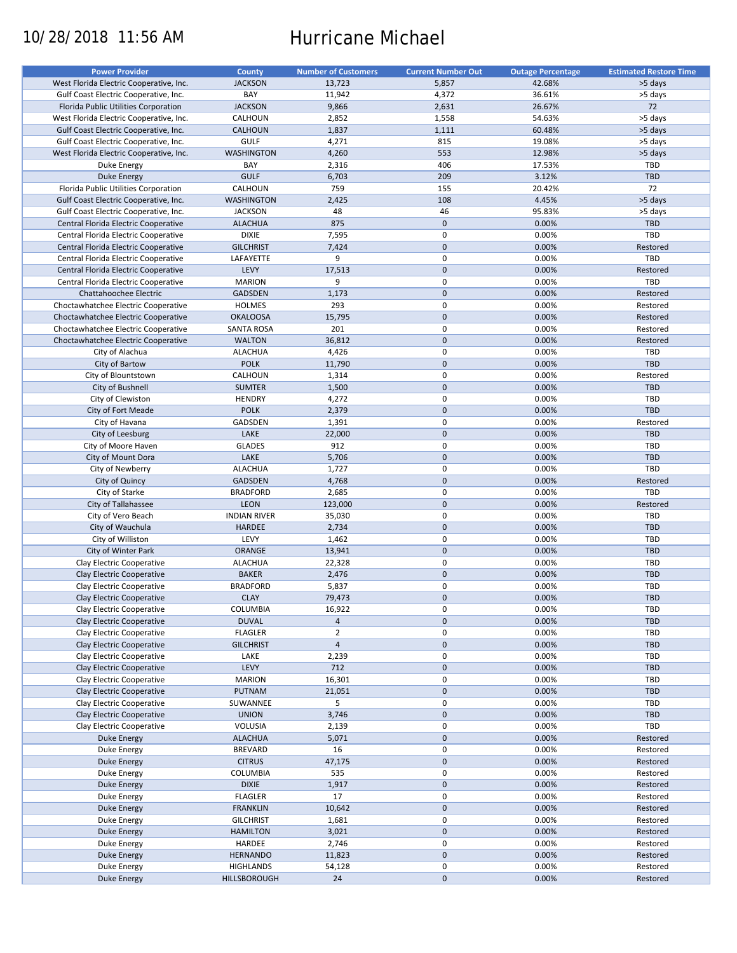# 10/28/2018 11:56 AM Hurricane Michael

| <b>Power Provider</b>                   | <b>County</b>       | <b>Number of Customers</b> | <b>Current Number Out</b> | <b>Outage Percentage</b> | <b>Estimated Restore Time</b> |
|-----------------------------------------|---------------------|----------------------------|---------------------------|--------------------------|-------------------------------|
| West Florida Electric Cooperative, Inc. | <b>JACKSON</b>      | 13,723                     | 5,857                     | 42.68%                   | >5 days                       |
| Gulf Coast Electric Cooperative, Inc.   | BAY                 | 11,942                     | 4,372                     | 36.61%                   | >5 days                       |
| Florida Public Utilities Corporation    | <b>JACKSON</b>      | 9,866                      | 2,631                     | 26.67%                   | 72                            |
|                                         |                     |                            |                           |                          |                               |
| West Florida Electric Cooperative, Inc. | CALHOUN             | 2,852                      | 1,558                     | 54.63%                   | >5 days                       |
| Gulf Coast Electric Cooperative, Inc.   | <b>CALHOUN</b>      | 1,837                      | 1,111                     | 60.48%                   | >5 days                       |
| Gulf Coast Electric Cooperative, Inc.   | <b>GULF</b>         | 4,271                      | 815                       | 19.08%                   | >5 days                       |
| West Florida Electric Cooperative, Inc. | <b>WASHINGTON</b>   | 4,260                      | 553                       | 12.98%                   | >5 days                       |
| Duke Energy                             | BAY                 | 2,316                      | 406                       | 17.53%                   | TBD                           |
| Duke Energy                             | <b>GULF</b>         | 6,703                      | 209                       | 3.12%                    | <b>TBD</b>                    |
| Florida Public Utilities Corporation    | CALHOUN             | 759                        | 155                       | 20.42%                   | 72                            |
| Gulf Coast Electric Cooperative, Inc.   | <b>WASHINGTON</b>   | 2,425                      | 108                       | 4.45%                    | >5 days                       |
| Gulf Coast Electric Cooperative, Inc.   | <b>JACKSON</b>      | 48                         | 46                        | 95.83%                   | >5 days                       |
| Central Florida Electric Cooperative    | <b>ALACHUA</b>      | 875                        | $\mathbf 0$               | 0.00%                    | <b>TBD</b>                    |
|                                         |                     |                            |                           |                          |                               |
| Central Florida Electric Cooperative    | <b>DIXIE</b>        | 7,595                      | $\pmb{0}$                 | 0.00%                    | TBD                           |
| Central Florida Electric Cooperative    | <b>GILCHRIST</b>    | 7,424                      | $\mathbf{0}$              | 0.00%                    | Restored                      |
| Central Florida Electric Cooperative    | LAFAYETTE           | 9                          | $\mathbf 0$               | 0.00%                    | TBD                           |
| Central Florida Electric Cooperative    | LEVY                | 17,513                     | $\mathbf{0}$              | 0.00%                    | Restored                      |
| Central Florida Electric Cooperative    | <b>MARION</b>       | 9                          | $\mathbf 0$               | 0.00%                    | TBD                           |
| Chattahoochee Electric                  | <b>GADSDEN</b>      | 1,173                      | $\mathbf 0$               | 0.00%                    | Restored                      |
| Choctawhatchee Electric Cooperative     | <b>HOLMES</b>       | 293                        | $\mathbf 0$               | 0.00%                    | Restored                      |
| Choctawhatchee Electric Cooperative     | <b>OKALOOSA</b>     | 15,795                     | $\mathbf 0$               | 0.00%                    | Restored                      |
| Choctawhatchee Electric Cooperative     | <b>SANTA ROSA</b>   | 201                        | $\pmb{0}$                 | 0.00%                    | Restored                      |
|                                         |                     |                            | $\mathbf 0$               |                          |                               |
| Choctawhatchee Electric Cooperative     | <b>WALTON</b>       | 36,812                     |                           | 0.00%                    | Restored                      |
| City of Alachua                         | <b>ALACHUA</b>      | 4,426                      | $\mathbf 0$               | 0.00%                    | <b>TBD</b>                    |
| City of Bartow                          | <b>POLK</b>         | 11,790                     | $\mathbf 0$               | 0.00%                    | TBD                           |
| City of Blountstown                     | CALHOUN             | 1,314                      | 0                         | 0.00%                    | Restored                      |
| City of Bushnell                        | <b>SUMTER</b>       | 1,500                      | $\mathbf 0$               | 0.00%                    | TBD                           |
| City of Clewiston                       | <b>HENDRY</b>       | 4,272                      | $\mathbf 0$               | 0.00%                    | <b>TBD</b>                    |
| City of Fort Meade                      | <b>POLK</b>         | 2,379                      | $\mathbf 0$               | 0.00%                    | TBD                           |
| City of Havana                          | GADSDEN             | 1,391                      | $\pmb{0}$                 | 0.00%                    | Restored                      |
|                                         | LAKE                | 22,000                     | $\mathbf 0$               | 0.00%                    | <b>TBD</b>                    |
| City of Leesburg                        |                     |                            |                           |                          |                               |
| City of Moore Haven                     | <b>GLADES</b>       | 912                        | $\mathbf 0$               | 0.00%                    | <b>TBD</b>                    |
| City of Mount Dora                      | LAKE                | 5,706                      | $\mathbf 0$               | 0.00%                    | TBD                           |
| City of Newberry                        | <b>ALACHUA</b>      | 1,727                      | $\pmb{0}$                 | 0.00%                    | TBD                           |
| City of Quincy                          | <b>GADSDEN</b>      | 4,768                      | $\mathbf 0$               | 0.00%                    | Restored                      |
| City of Starke                          | <b>BRADFORD</b>     | 2,685                      | 0                         | 0.00%                    | TBD                           |
| City of Tallahassee                     | LEON                | 123,000                    | $\mathbf 0$               | 0.00%                    | Restored                      |
| City of Vero Beach                      | <b>INDIAN RIVER</b> | 35,030                     | $\pmb{0}$                 | 0.00%                    | TBD                           |
| City of Wauchula                        | <b>HARDEE</b>       | 2,734                      | $\mathbf 0$               | 0.00%                    | <b>TBD</b>                    |
| City of Williston                       | LEVY                | 1,462                      | 0                         | 0.00%                    | <b>TBD</b>                    |
|                                         |                     |                            |                           |                          |                               |
| City of Winter Park                     | <b>ORANGE</b>       | 13,941                     | $\mathbf 0$               | 0.00%                    | <b>TBD</b>                    |
| Clay Electric Cooperative               | <b>ALACHUA</b>      | 22,328                     | $\pmb{0}$                 | 0.00%                    | <b>TBD</b>                    |
| Clay Electric Cooperative               | <b>BAKER</b>        | 2,476                      | $\mathbf 0$               | 0.00%                    | TBD                           |
| Clay Electric Cooperative               | <b>BRADFORD</b>     | 5,837                      | $\pmb{0}$                 | 0.00%                    | <b>TBD</b>                    |
| Clay Electric Cooperative               | <b>CLAY</b>         | 79,473                     | $\mathbf{0}$              | 0.00%                    | <b>TBD</b>                    |
| Clay Electric Cooperative               | COLUMBIA            | 16,922                     | 0                         | 0.00%                    | <b>TBD</b>                    |
| Clay Electric Cooperative               | <b>DUVAL</b>        | $\overline{a}$             | $\pmb{0}$                 | 0.00%                    | TBD                           |
| Clay Electric Cooperative               | <b>FLAGLER</b>      | $\overline{2}$             | 0                         | 0.00%                    | <b>TBD</b>                    |
|                                         |                     |                            |                           |                          |                               |
| Clay Electric Cooperative               | <b>GILCHRIST</b>    | $\overline{4}$             | $\pmb{0}$                 | 0.00%                    | <b>TBD</b>                    |
| Clay Electric Cooperative               | LAKE                | 2,239                      | $\pmb{0}$                 | 0.00%                    | TBD                           |
| Clay Electric Cooperative               | LEVY                | 712                        | $\pmb{0}$                 | 0.00%                    | <b>TBD</b>                    |
| Clay Electric Cooperative               | <b>MARION</b>       | 16,301                     | $\pmb{0}$                 | 0.00%                    | TBD                           |
| Clay Electric Cooperative               | PUTNAM              | 21,051                     | $\pmb{0}$                 | 0.00%                    | <b>TBD</b>                    |
| Clay Electric Cooperative               | SUWANNEE            | 5                          | $\pmb{0}$                 | 0.00%                    | TBD                           |
| Clay Electric Cooperative               | <b>UNION</b>        | 3,746                      | $\pmb{0}$                 | 0.00%                    | TBD                           |
| Clay Electric Cooperative               | VOLUSIA             | 2,139                      | $\pmb{0}$                 | 0.00%                    | TBD                           |
| <b>Duke Energy</b>                      | <b>ALACHUA</b>      |                            | $\pmb{0}$                 | 0.00%                    | Restored                      |
|                                         |                     | 5,071                      |                           |                          |                               |
| Duke Energy                             | <b>BREVARD</b>      | 16                         | $\pmb{0}$                 | 0.00%                    | Restored                      |
| <b>Duke Energy</b>                      | <b>CITRUS</b>       | 47,175                     | $\pmb{0}$                 | 0.00%                    | Restored                      |
| Duke Energy                             | COLUMBIA            | 535                        | 0                         | 0.00%                    | Restored                      |
| Duke Energy                             | <b>DIXIE</b>        | 1,917                      | $\pmb{0}$                 | 0.00%                    | Restored                      |
| Duke Energy                             | <b>FLAGLER</b>      | 17                         | $\pmb{0}$                 | 0.00%                    | Restored                      |
| <b>Duke Energy</b>                      | <b>FRANKLIN</b>     | 10,642                     | $\pmb{0}$                 | 0.00%                    | Restored                      |
| Duke Energy                             | <b>GILCHRIST</b>    | 1,681                      | 0                         | 0.00%                    | Restored                      |
| Duke Energy                             | <b>HAMILTON</b>     | 3,021                      | $\pmb{0}$                 | 0.00%                    | Restored                      |
|                                         |                     |                            |                           |                          |                               |
| Duke Energy                             | HARDEE              | 2,746                      | 0                         | 0.00%                    | Restored                      |
| Duke Energy                             | <b>HERNANDO</b>     | 11,823                     | $\pmb{0}$                 | 0.00%                    | Restored                      |
| Duke Energy                             | <b>HIGHLANDS</b>    | 54,128                     | 0                         | 0.00%                    | Restored                      |
| Duke Energy                             | HILLSBOROUGH        | 24                         | $\pmb{0}$                 | 0.00%                    | Restored                      |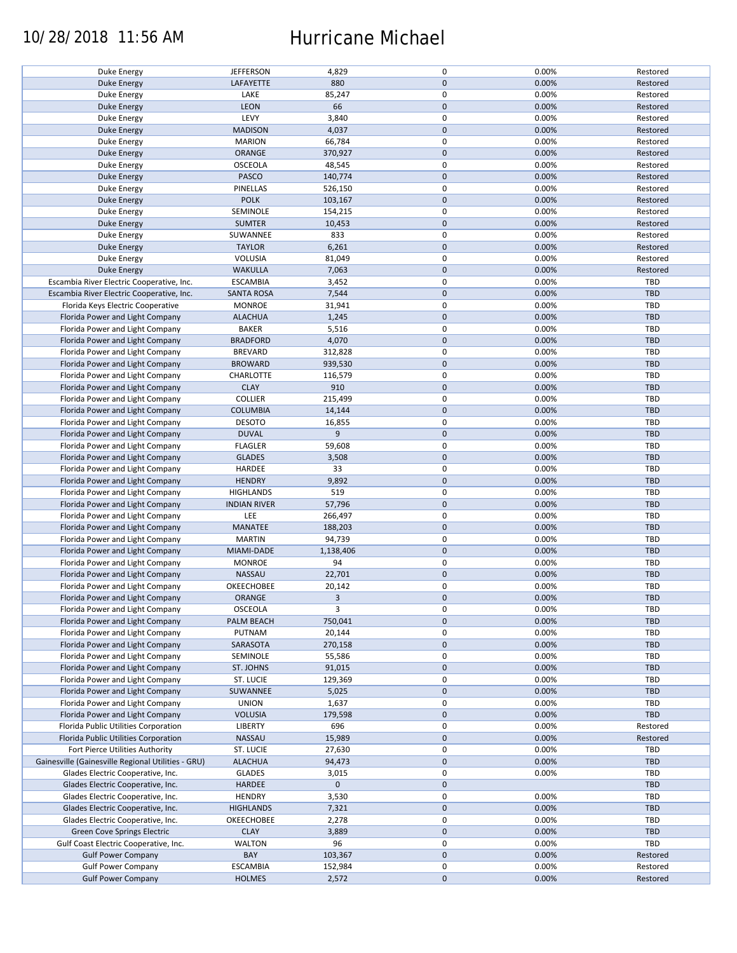### 10/28/2018 11:56 AM Hurricane Michael

| Duke Energy                                        | <b>JEFFERSON</b>    | 4,829       | 0            | 0.00% | Restored   |
|----------------------------------------------------|---------------------|-------------|--------------|-------|------------|
| <b>Duke Energy</b>                                 | LAFAYETTE           | 880         | $\mathbf 0$  | 0.00% | Restored   |
|                                                    |                     |             |              |       |            |
| Duke Energy                                        | LAKE                | 85,247      | $\pmb{0}$    | 0.00% | Restored   |
| <b>Duke Energy</b>                                 | <b>LEON</b>         | 66          | $\mathbf 0$  | 0.00% | Restored   |
|                                                    | LEVY                | 3,840       | $\pmb{0}$    | 0.00% | Restored   |
| Duke Energy                                        |                     |             |              |       |            |
| Duke Energy                                        | <b>MADISON</b>      | 4,037       | $\mathbf 0$  | 0.00% | Restored   |
| Duke Energy                                        | <b>MARION</b>       | 66,784      | $\pmb{0}$    | 0.00% | Restored   |
|                                                    |                     |             | $\pmb{0}$    |       |            |
| Duke Energy                                        | ORANGE              | 370,927     |              | 0.00% | Restored   |
| Duke Energy                                        | OSCEOLA             | 48,545      | 0            | 0.00% | Restored   |
| Duke Energy                                        | <b>PASCO</b>        | 140,774     | $\pmb{0}$    | 0.00% | Restored   |
|                                                    |                     |             |              |       |            |
| Duke Energy                                        | PINELLAS            | 526,150     | 0            | 0.00% | Restored   |
| Duke Energy                                        | <b>POLK</b>         | 103,167     | $\mathbf 0$  | 0.00% | Restored   |
|                                                    | SEMINOLE            | 154,215     | $\pmb{0}$    | 0.00% | Restored   |
| Duke Energy                                        |                     |             |              |       |            |
| <b>Duke Energy</b>                                 | <b>SUMTER</b>       | 10,453      | $\mathbf 0$  | 0.00% | Restored   |
| Duke Energy                                        | SUWANNEE            | 833         | 0            | 0.00% | Restored   |
|                                                    |                     |             | $\pmb{0}$    |       |            |
| <b>Duke Energy</b>                                 | <b>TAYLOR</b>       | 6,261       |              | 0.00% | Restored   |
| Duke Energy                                        | VOLUSIA             | 81,049      | 0            | 0.00% | Restored   |
| <b>Duke Energy</b>                                 | <b>WAKULLA</b>      | 7,063       | $\pmb{0}$    | 0.00% | Restored   |
|                                                    |                     |             |              |       |            |
| Escambia River Electric Cooperative, Inc.          | <b>ESCAMBIA</b>     | 3,452       | $\pmb{0}$    | 0.00% | TBD        |
| Escambia River Electric Cooperative, Inc.          | <b>SANTA ROSA</b>   | 7,544       | $\pmb{0}$    | 0.00% | TBD        |
| Florida Keys Electric Cooperative                  | <b>MONROE</b>       | 31,941      | $\pmb{0}$    | 0.00% | TBD        |
|                                                    |                     |             |              |       |            |
| Florida Power and Light Company                    | <b>ALACHUA</b>      | 1,245       | $\mathbf 0$  | 0.00% | <b>TBD</b> |
| Florida Power and Light Company                    | <b>BAKER</b>        | 5,516       | $\pmb{0}$    | 0.00% | TBD        |
|                                                    |                     |             |              |       |            |
| Florida Power and Light Company                    | <b>BRADFORD</b>     | 4,070       | $\pmb{0}$    | 0.00% | TBD        |
| Florida Power and Light Company                    | <b>BREVARD</b>      | 312,828     | $\pmb{0}$    | 0.00% | TBD        |
| Florida Power and Light Company                    | <b>BROWARD</b>      | 939,530     | $\pmb{0}$    | 0.00% | TBD        |
|                                                    |                     |             |              |       |            |
| Florida Power and Light Company                    | CHARLOTTE           | 116,579     | $\pmb{0}$    | 0.00% | TBD        |
| Florida Power and Light Company                    | <b>CLAY</b>         | 910         | $\pmb{0}$    | 0.00% | <b>TBD</b> |
|                                                    | <b>COLLIER</b>      |             | $\pmb{0}$    | 0.00% | TBD        |
| Florida Power and Light Company                    |                     | 215,499     |              |       |            |
| Florida Power and Light Company                    | <b>COLUMBIA</b>     | 14,144      | $\mathbf 0$  | 0.00% | <b>TBD</b> |
| Florida Power and Light Company                    | <b>DESOTO</b>       | 16,855      | $\pmb{0}$    | 0.00% | TBD        |
|                                                    |                     |             |              |       |            |
| Florida Power and Light Company                    | <b>DUVAL</b>        | 9           | $\pmb{0}$    | 0.00% | TBD        |
| Florida Power and Light Company                    | <b>FLAGLER</b>      | 59,608      | $\pmb{0}$    | 0.00% | TBD        |
| Florida Power and Light Company                    | <b>GLADES</b>       | 3,508       | $\mathbf 0$  | 0.00% | TBD        |
|                                                    |                     |             |              |       |            |
| Florida Power and Light Company                    | HARDEE              | 33          | $\pmb{0}$    | 0.00% | TBD        |
| Florida Power and Light Company                    | <b>HENDRY</b>       | 9,892       | $\mathbf 0$  | 0.00% | <b>TBD</b> |
|                                                    |                     | 519         | $\pmb{0}$    | 0.00% | TBD        |
| Florida Power and Light Company                    | <b>HIGHLANDS</b>    |             |              |       |            |
| Florida Power and Light Company                    | <b>INDIAN RIVER</b> | 57,796      | $\pmb{0}$    | 0.00% | <b>TBD</b> |
| Florida Power and Light Company                    | LEE                 | 266,497     | $\pmb{0}$    | 0.00% | TBD        |
|                                                    |                     |             |              |       |            |
| Florida Power and Light Company                    | MANATEE             | 188,203     | $\mathbf 0$  | 0.00% | TBD        |
| Florida Power and Light Company                    | <b>MARTIN</b>       | 94,739      | $\pmb{0}$    | 0.00% | TBD        |
| Florida Power and Light Company                    | MIAMI-DADE          | 1,138,406   | $\mathbf 0$  | 0.00% | TBD        |
|                                                    |                     |             |              |       |            |
| Florida Power and Light Company                    | <b>MONROE</b>       | 94          | $\pmb{0}$    | 0.00% | TBD        |
| Florida Power and Light Company                    | NASSAU              | 22,701      | $\pmb{0}$    | 0.00% | <b>TBD</b> |
|                                                    |                     |             |              |       |            |
| Florida Power and Light Company                    | <b>OKEECHOBEE</b>   | 20,142      | $\pmb{0}$    | 0.00% | TBD        |
| Florida Power and Light Company                    | ORANGE              | 3           | $\mathbf{0}$ | 0.00% | TBD        |
| Florida Power and Light Company                    | <b>OSCEOLA</b>      | 3           | $\pmb{0}$    | 0.00% | TBD        |
|                                                    |                     |             |              |       |            |
| Florida Power and Light Company                    | PALM BEACH          | 750,041     | $\mathbf 0$  | 0.00% | TBD        |
| Florida Power and Light Company                    | PUTNAM              | 20,144      | $\pmb{0}$    | 0.00% | TBD        |
|                                                    |                     |             | $\pmb{0}$    | 0.00% | <b>TBD</b> |
| Florida Power and Light Company                    | SARASOTA            | 270,158     |              |       |            |
| Florida Power and Light Company                    | SEMINOLE            | 55,586      | 0            | 0.00% | TBD        |
| Florida Power and Light Company                    | ST. JOHNS           | 91,015      | $\mathbf 0$  | 0.00% | TBD        |
|                                                    |                     |             | $\pmb{0}$    |       |            |
| Florida Power and Light Company                    | ST. LUCIE           | 129,369     |              | 0.00% | TBD        |
| Florida Power and Light Company                    | SUWANNEE            | 5,025       | $\pmb{0}$    | 0.00% | TBD        |
| Florida Power and Light Company                    | <b>UNION</b>        | 1,637       | $\pmb{0}$    | 0.00% | TBD        |
|                                                    |                     |             |              |       |            |
| Florida Power and Light Company                    | <b>VOLUSIA</b>      | 179,598     | $\mathbf 0$  | 0.00% | TBD        |
| Florida Public Utilities Corporation               | LIBERTY             | 696         | $\pmb{0}$    | 0.00% | Restored   |
| Florida Public Utilities Corporation               | <b>NASSAU</b>       | 15,989      | $\pmb{0}$    | 0.00% | Restored   |
|                                                    |                     |             |              |       |            |
| Fort Pierce Utilities Authority                    | ST. LUCIE           | 27,630      | 0            | 0.00% | TBD        |
| Gainesville (Gainesville Regional Utilities - GRU) | <b>ALACHUA</b>      | 94,473      | $\mathbf 0$  | 0.00% | TBD        |
|                                                    |                     |             | $\pmb{0}$    |       |            |
| Glades Electric Cooperative, Inc.                  | <b>GLADES</b>       | 3,015       |              | 0.00% | TBD        |
| Glades Electric Cooperative, Inc.                  | <b>HARDEE</b>       | $\mathbf 0$ | $\mathbf 0$  |       | TBD        |
| Glades Electric Cooperative, Inc.                  | <b>HENDRY</b>       | 3,530       | $\pmb{0}$    | 0.00% | TBD        |
|                                                    |                     |             |              |       |            |
| Glades Electric Cooperative, Inc.                  | <b>HIGHLANDS</b>    | 7,321       | $\mathbf 0$  | 0.00% | TBD        |
| Glades Electric Cooperative, Inc.                  | OKEECHOBEE          | 2,278       | 0            | 0.00% | TBD        |
| Green Cove Springs Electric                        | <b>CLAY</b>         | 3,889       | $\mathbf 0$  | 0.00% | TBD        |
|                                                    |                     |             |              |       |            |
| Gulf Coast Electric Cooperative, Inc.              | WALTON              | 96          | 0            | 0.00% | TBD        |
| <b>Gulf Power Company</b>                          | BAY                 | 103,367     | $\mathbf 0$  | 0.00% | Restored   |
|                                                    |                     |             |              |       |            |
| <b>Gulf Power Company</b>                          | <b>ESCAMBIA</b>     | 152,984     | 0            | 0.00% | Restored   |
| <b>Gulf Power Company</b>                          | <b>HOLMES</b>       | 2,572       | $\mathbf 0$  | 0.00% | Restored   |